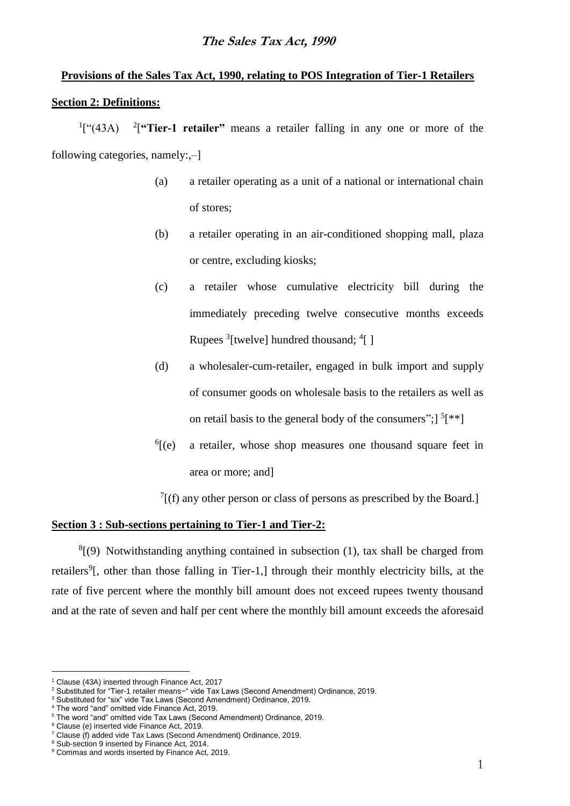# **Provisions of the Sales Tax Act, 1990, relating to POS Integration of Tier-1 Retailers Section 2: Definitions:**

 $\frac{1}{2}$ ["(43A)  $\frac{2}{2}$ <sup>2</sup>["Tier-1 retailer" means a retailer falling in any one or more of the following categories, namely:,–]

- (a) a retailer operating as a unit of a national or international chain of stores;
- (b) a retailer operating in an air-conditioned shopping mall, plaza or centre, excluding kiosks;
- (c) a retailer whose cumulative electricity bill during the immediately preceding twelve consecutive months exceeds Rupees <sup>3</sup>[twelve] hundred thousand; <sup>4</sup>[]
- (d) a wholesaler-cum-retailer, engaged in bulk import and supply of consumer goods on wholesale basis to the retailers as well as on retail basis to the general body of the consumers";  $]$ <sup>5</sup>[\*\*]
- $<sup>6</sup>$ [(e)</sup> a retailer, whose shop measures one thousand square feet in area or more; and]

 $7[(f)$  any other person or class of persons as prescribed by the Board.]

#### **Section 3 : Sub-sections pertaining to Tier-1 and Tier-2:**

 ${}^{8}$ [(9) Notwithstanding anything contained in subsection (1), tax shall be charged from retailers<sup>9</sup>[, other than those falling in Tier-1,] through their monthly electricity bills, at the rate of five percent where the monthly bill amount does not exceed rupees twenty thousand and at the rate of seven and half per cent where the monthly bill amount exceeds the aforesaid

<sup>-</sup><sup>1</sup> Clause (43A) inserted through Finance Act, 2017

<sup>2</sup> Substituted for "Tier-1 retailer means−" vide Tax Laws (Second Amendment) Ordinance, 2019.

<sup>&</sup>lt;sup>3</sup> Substituted for "six" vide Tax Laws (Second Amendment) Ordinance, 2019.

<sup>4</sup> The word "and" omitted vide Finance Act, 2019.

<sup>5</sup> The word "and" omitted vide Tax Laws (Second Amendment) Ordinance, 2019.

<sup>6</sup> Clause (e) inserted vide Finance Act, 2019.

<sup>7</sup> Clause (f) added vide Tax Laws (Second Amendment) Ordinance, 2019.

<sup>8</sup> Sub-section 9 inserted by Finance Act, 2014.

<sup>&</sup>lt;sup>9</sup> Commas and words inserted by Finance Act, 2019.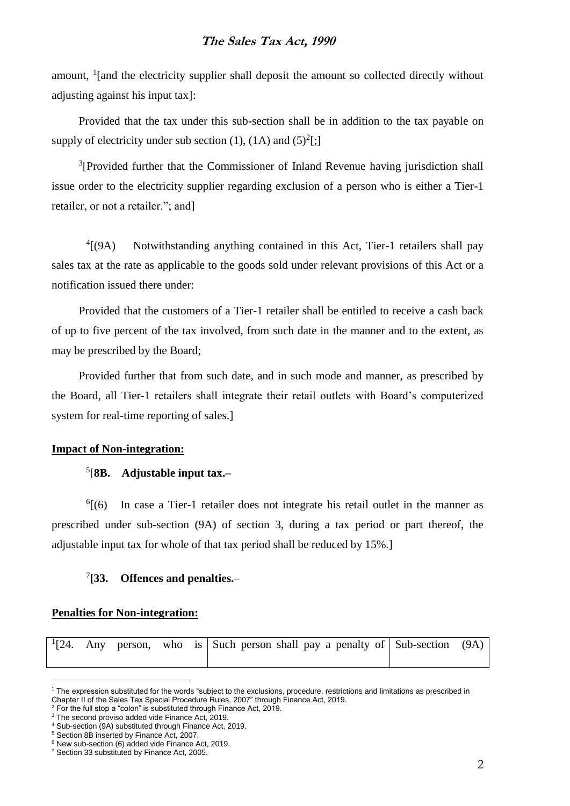amount, <sup>1</sup>[and the electricity supplier shall deposit the amount so collected directly without adjusting against his input tax]:

Provided that the tax under this sub-section shall be in addition to the tax payable on supply of electricity under sub section (1), (1A) and  $(5)^2$ [;]

<sup>3</sup>[Provided further that the Commissioner of Inland Revenue having jurisdiction shall issue order to the electricity supplier regarding exclusion of a person who is either a Tier-1 retailer, or not a retailer."; and]

 $^{4}$ [(9A) Notwithstanding anything contained in this Act, Tier-1 retailers shall pay sales tax at the rate as applicable to the goods sold under relevant provisions of this Act or a notification issued there under:

Provided that the customers of a Tier-1 retailer shall be entitled to receive a cash back of up to five percent of the tax involved, from such date in the manner and to the extent, as may be prescribed by the Board;

Provided further that from such date, and in such mode and manner, as prescribed by the Board, all Tier-1 retailers shall integrate their retail outlets with Board's computerized system for real-time reporting of sales.]

#### **Impact of Non-integration:**

## 5 [**8B. Adjustable input tax.–**

 $^{6}$ [(6) In case a Tier-1 retailer does not integrate his retail outlet in the manner as prescribed under sub-section (9A) of section 3, during a tax period or part thereof, the adjustable input tax for whole of that tax period shall be reduced by 15%.]

## 7 **[33. Offences and penalties.**–

#### **Penalties for Non-integration:**

-

|  |  |  |  |  |  | <sup>1</sup> [24. Any person, who is Such person shall pay a penalty of Sub-section (9A) |  |
|--|--|--|--|--|--|------------------------------------------------------------------------------------------|--|
|  |  |  |  |  |  |                                                                                          |  |

<sup>1</sup> The expression substituted for the words "subject to the exclusions, procedure, restrictions and limitations as prescribed in Chapter II of the Sales Tax Special Procedure Rules, 2007" through Finance Act, 2019.

<sup>2</sup> For the full stop a "colon" is substituted through Finance Act, 2019.

<sup>&</sup>lt;sup>3</sup> The second proviso added vide Finance Act, 2019.

<sup>4</sup> Sub-section (9A) substituted through Finance Act, 2019.

<sup>5</sup> Section 8B inserted by Finance Act, 2007.

<sup>6</sup> New sub-section (6) added vide Finance Act, 2019.

<sup>7</sup> Section 33 substituted by Finance Act, 2005.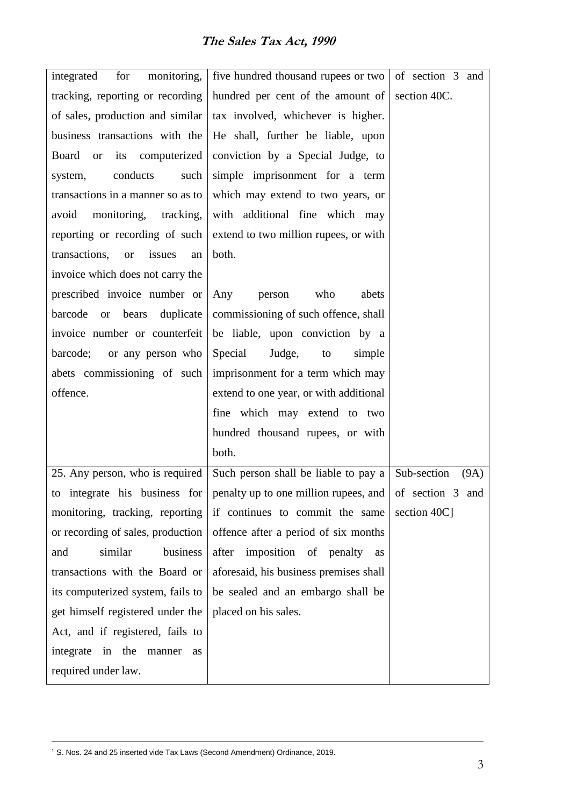| for<br>integrated<br>monitoring,           | five hundred thousand rupees or two                                                  | of section 3 and |
|--------------------------------------------|--------------------------------------------------------------------------------------|------------------|
| tracking, reporting or recording           | hundred per cent of the amount of                                                    | section 40C.     |
| of sales, production and similar           | tax involved, whichever is higher.                                                   |                  |
| business transactions with the             | He shall, further be liable, upon                                                    |                  |
| Board<br><b>or</b><br>its<br>computerized  | conviction by a Special Judge, to                                                    |                  |
| conducts<br>such<br>system,                | simple imprisonment for a term                                                       |                  |
| transactions in a manner so as to          | which may extend to two years, or                                                    |                  |
| avoid monitoring,<br>tracking,             | with additional fine which may                                                       |                  |
| reporting or recording of such             | extend to two million rupees, or with                                                |                  |
| transactions,<br><b>or</b><br>issues<br>an | both.                                                                                |                  |
| invoice which does not carry the           |                                                                                      |                  |
| prescribed invoice number or               | Any<br>who<br>person<br>abets                                                        |                  |
| barcode<br>bears<br>duplicate<br><b>or</b> | commissioning of such offence, shall                                                 |                  |
| invoice number or counterfeit              | be liable, upon conviction by a                                                      |                  |
| barcode;<br>or any person who              | Special<br>Judge,<br>simple<br>to                                                    |                  |
| abets commissioning of such                | imprisonment for a term which may                                                    |                  |
| offence.                                   | extend to one year, or with additional                                               |                  |
|                                            | fine which may extend to two                                                         |                  |
|                                            | hundred thousand rupees, or with                                                     |                  |
|                                            | both.                                                                                |                  |
| 25. Any person, who is required            | Such person shall be liable to pay a $\vert$ Sub-section                             | (9A)             |
|                                            | to integrate his business for penalty up to one million rupees, and of section 3 and |                  |
| monitoring, tracking, reporting            | if continues to commit the same                                                      | section 40C      |
| or recording of sales, production          | offence after a period of six months                                                 |                  |
| similar<br>business<br>and                 | imposition of penalty as<br>after                                                    |                  |
| transactions with the Board or             | aforesaid, his business premises shall                                               |                  |
| its computerized system, fails to          | be sealed and an embargo shall be                                                    |                  |
| get himself registered under the           | placed on his sales.                                                                 |                  |
| Act, and if registered, fails to           |                                                                                      |                  |
| integrate in the manner<br>as              |                                                                                      |                  |
| required under law.                        |                                                                                      |                  |

<sup>1</sup> S. Nos. 24 and 25 inserted vide Tax Laws (Second Amendment) Ordinance, 2019.

-